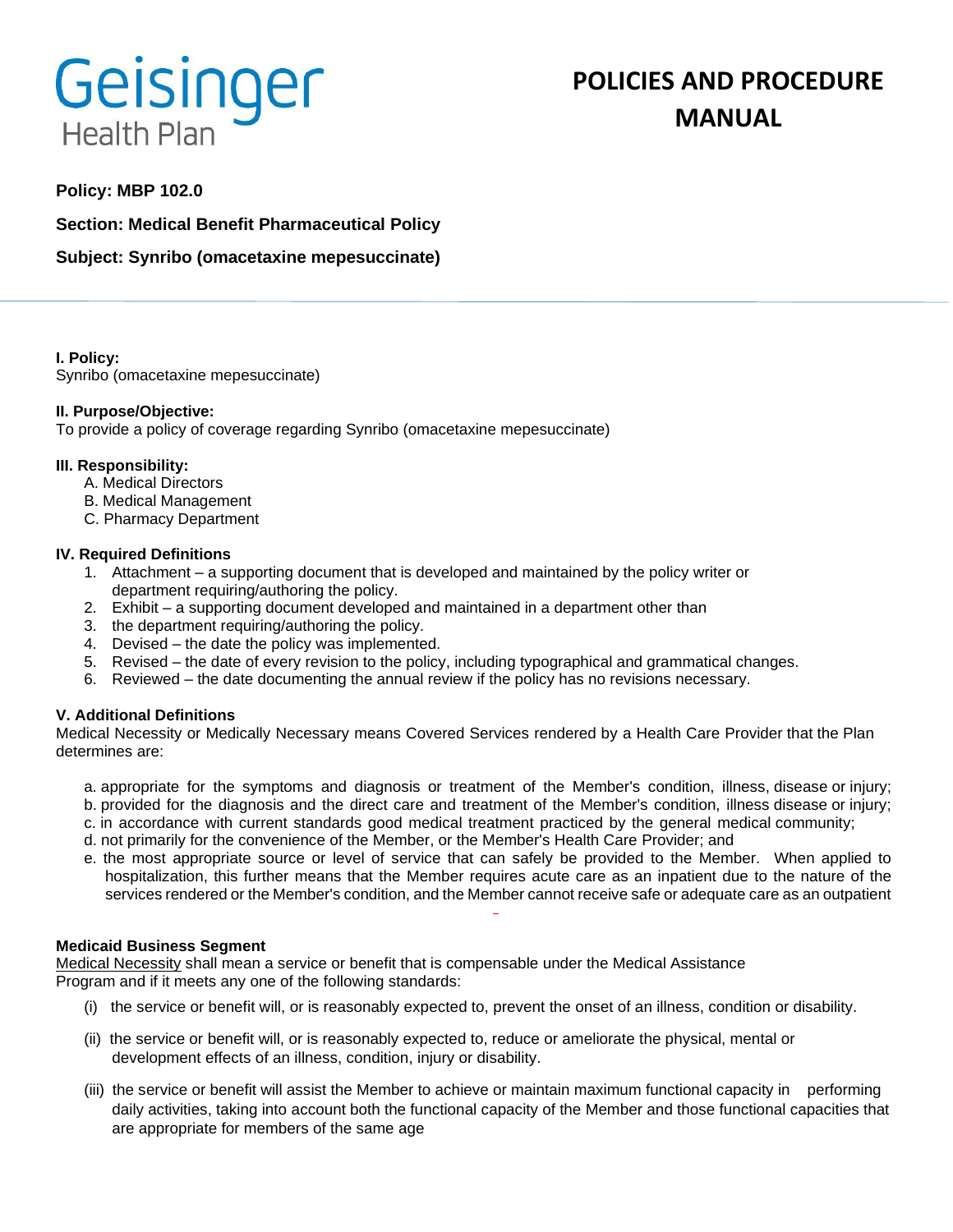# Geisinger **Health Plan**

## **Policy: MBP 102.0**

**Section: Medical Benefit Pharmaceutical Policy**

**Subject: Synribo (omacetaxine mepesuccinate)** 

**I. Policy:** Synribo (omacetaxine mepesuccinate)

## **II. Purpose/Objective:**

To provide a policy of coverage regarding Synribo (omacetaxine mepesuccinate)

## **III. Responsibility:**

- A. Medical Directors
- B. Medical Management
- C. Pharmacy Department

## **IV. Required Definitions**

- 1. Attachment a supporting document that is developed and maintained by the policy writer or department requiring/authoring the policy.
- 2. Exhibit a supporting document developed and maintained in a department other than
- 3. the department requiring/authoring the policy.
- 4. Devised the date the policy was implemented.
- 5. Revised the date of every revision to the policy, including typographical and grammatical changes.
- 6. Reviewed the date documenting the annual review if the policy has no revisions necessary.

## **V. Additional Definitions**

Medical Necessity or Medically Necessary means Covered Services rendered by a Health Care Provider that the Plan determines are:

- a. appropriate for the symptoms and diagnosis or treatment of the Member's condition, illness, disease or injury; b. provided for the diagnosis and the direct care and treatment of the Member's condition, illness disease or injury;
- c. in accordance with current standards good medical treatment practiced by the general medical community;
- d. not primarily for the convenience of the Member, or the Member's Health Care Provider; and
- e. the most appropriate source or level of service that can safely be provided to the Member. When applied to hospitalization, this further means that the Member requires acute care as an inpatient due to the nature of the services rendered or the Member's condition, and the Member cannot receive safe or adequate care as an outpatient

#### **Medicaid Business Segment**

Medical Necessity shall mean a service or benefit that is compensable under the Medical Assistance Program and if it meets any one of the following standards:

- (i) the service or benefit will, or is reasonably expected to, prevent the onset of an illness, condition or disability.
- (ii) the service or benefit will, or is reasonably expected to, reduce or ameliorate the physical, mental or development effects of an illness, condition, injury or disability.
- (iii) the service or benefit will assist the Member to achieve or maintain maximum functional capacity in performing daily activities, taking into account both the functional capacity of the Member and those functional capacities that are appropriate for members of the same age